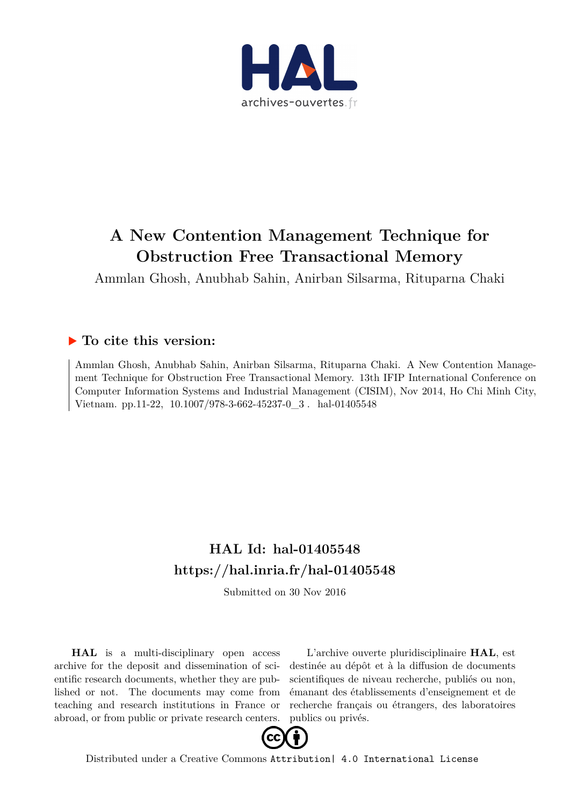

# **A New Contention Management Technique for Obstruction Free Transactional Memory**

Ammlan Ghosh, Anubhab Sahin, Anirban Silsarma, Rituparna Chaki

# **To cite this version:**

Ammlan Ghosh, Anubhab Sahin, Anirban Silsarma, Rituparna Chaki. A New Contention Management Technique for Obstruction Free Transactional Memory. 13th IFIP International Conference on Computer Information Systems and Industrial Management (CISIM), Nov 2014, Ho Chi Minh City, Vietnam. pp.11-22, 10.1007/978-3-662-45237-0\_3. hal-01405548

# **HAL Id: hal-01405548 <https://hal.inria.fr/hal-01405548>**

Submitted on 30 Nov 2016

**HAL** is a multi-disciplinary open access archive for the deposit and dissemination of scientific research documents, whether they are published or not. The documents may come from teaching and research institutions in France or abroad, or from public or private research centers.

L'archive ouverte pluridisciplinaire **HAL**, est destinée au dépôt et à la diffusion de documents scientifiques de niveau recherche, publiés ou non, émanant des établissements d'enseignement et de recherche français ou étrangers, des laboratoires publics ou privés.



Distributed under a Creative Commons [Attribution| 4.0 International License](http://creativecommons.org/licenses/by/4.0/)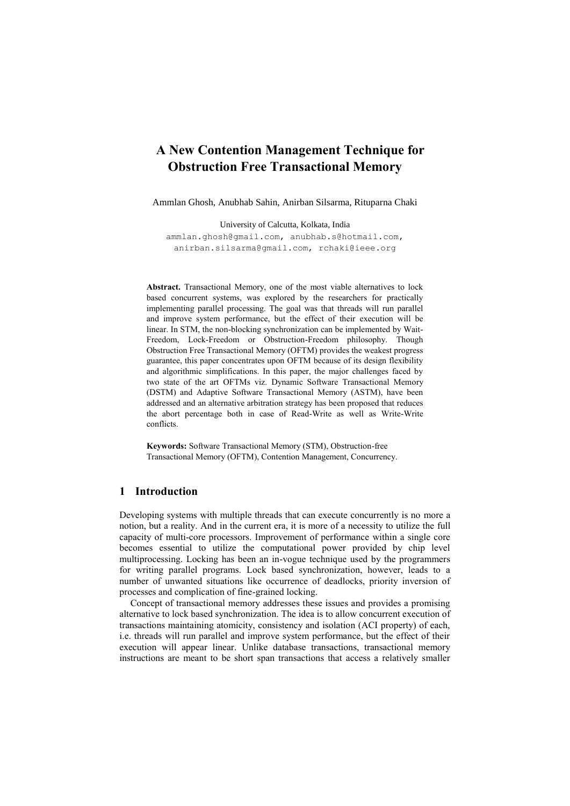# **A New Contention Management Technique for Obstruction Free Transactional Memory**

Ammlan Ghosh, Anubhab Sahin, Anirban Silsarma, Rituparna Chaki

University of Calcutta, Kolkata, India ammlan.ghosh@gmail.com, anubhab.s@hotmail.com, anirban.silsarma@gmail.com, rchaki@ieee.org

**Abstract.** Transactional Memory, one of the most viable alternatives to lock based concurrent systems, was explored by the researchers for practically implementing parallel processing. The goal was that threads will run parallel and improve system performance, but the effect of their execution will be linear. In STM, the non-blocking synchronization can be implemented by Wait-Freedom, Lock-Freedom or Obstruction-Freedom philosophy. Though Obstruction Free Transactional Memory (OFTM) provides the weakest progress guarantee, this paper concentrates upon OFTM because of its design flexibility and algorithmic simplifications. In this paper, the major challenges faced by two state of the art OFTMs viz. Dynamic Software Transactional Memory (DSTM) and Adaptive Software Transactional Memory (ASTM), have been addressed and an alternative arbitration strategy has been proposed that reduces the abort percentage both in case of Read-Write as well as Write-Write conflicts.

**Keywords:** Software Transactional Memory (STM), Obstruction-free Transactional Memory (OFTM), Contention Management, Concurrency.

# **1 Introduction**

Developing systems with multiple threads that can execute concurrently is no more a notion, but a reality. And in the current era, it is more of a necessity to utilize the full capacity of multi-core processors. Improvement of performance within a single core becomes essential to utilize the computational power provided by chip level multiprocessing. Locking has been an in-vogue technique used by the programmers for writing parallel programs. Lock based synchronization, however, leads to a number of unwanted situations like occurrence of deadlocks, priority inversion of processes and complication of fine-grained locking.

Concept of transactional memory addresses these issues and provides a promising alternative to lock based synchronization. The idea is to allow concurrent execution of transactions maintaining atomicity, consistency and isolation (ACI property) of each, i.e. threads will run parallel and improve system performance, but the effect of their execution will appear linear. Unlike database transactions, transactional memory instructions are meant to be short span transactions that access a relatively smaller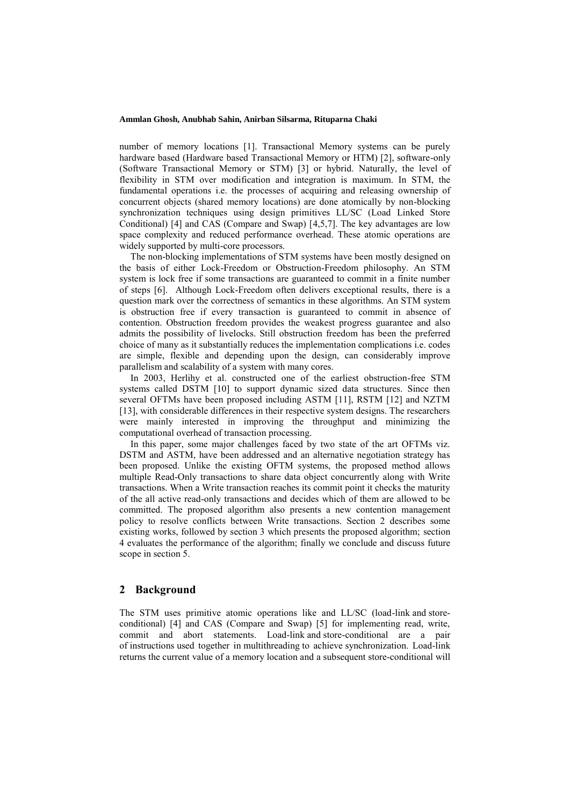number of memory locations [1]. Transactional Memory systems can be purely hardware based (Hardware based Transactional Memory or HTM) [2], software-only (Software Transactional Memory or STM) [3] or hybrid. Naturally, the level of flexibility in STM over modification and integration is maximum. In STM, the fundamental operations i.e. the processes of acquiring and releasing ownership of concurrent objects (shared memory locations) are done atomically by non-blocking synchronization techniques using design primitives LL/SC (Load Linked Store Conditional) [4] and CAS (Compare and Swap) [4,5,7]. The key advantages are low space complexity and reduced performance overhead. These atomic operations are widely supported by multi-core processors.

The non-blocking implementations of STM systems have been mostly designed on the basis of either Lock-Freedom or Obstruction-Freedom philosophy. An STM system is lock free if some transactions are guaranteed to commit in a finite number of steps [6]. Although Lock-Freedom often delivers exceptional results, there is a question mark over the correctness of semantics in these algorithms. An STM system is obstruction free if every transaction is guaranteed to commit in absence of contention. Obstruction freedom provides the weakest progress guarantee and also admits the possibility of livelocks. Still obstruction freedom has been the preferred choice of many as it substantially reduces the implementation complications i.e. codes are simple, flexible and depending upon the design, can considerably improve parallelism and scalability of a system with many cores.

In 2003, Herlihy et al. constructed one of the earliest obstruction-free STM systems called DSTM [10] to support dynamic sized data structures. Since then several OFTMs have been proposed including ASTM [11], RSTM [12] and NZTM [13], with considerable differences in their respective system designs. The researchers were mainly interested in improving the throughput and minimizing the computational overhead of transaction processing.

In this paper, some major challenges faced by two state of the art OFTMs viz. DSTM and ASTM, have been addressed and an alternative negotiation strategy has been proposed. Unlike the existing OFTM systems, the proposed method allows multiple Read-Only transactions to share data object concurrently along with Write transactions. When a Write transaction reaches its commit point it checks the maturity of the all active read-only transactions and decides which of them are allowed to be committed. The proposed algorithm also presents a new contention management policy to resolve conflicts between Write transactions. Section 2 describes some existing works, followed by section 3 which presents the proposed algorithm; section 4 evaluates the performance of the algorithm; finally we conclude and discuss future scope in section 5.

# **2 Background**

The STM uses primitive atomic operations like and LL/SC (load-link and storeconditional) [4] and CAS (Compare and Swap) [5] for implementing read, write, commit and abort statements. Load-link and store-conditional are a pair of instructions used together in multithreading to achieve synchronization. Load-link returns the current value of a memory location and a subsequent store-conditional will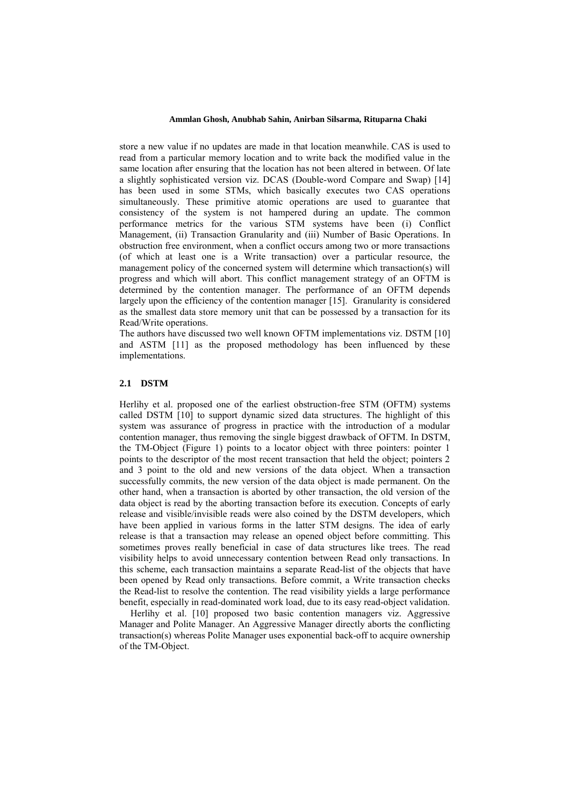store a new value if no updates are made in that location meanwhile. CAS is used to read from a particular memory location and to write back the modified value in the same location after ensuring that the location has not been altered in between. Of late a slightly sophisticated version viz. DCAS (Double-word Compare and Swap) [14] has been used in some STMs, which basically executes two CAS operations simultaneously. These primitive atomic operations are used to guarantee that consistency of the system is not hampered during an update. The common performance metrics for the various STM systems have been (i) Conflict Management, (ii) Transaction Granularity and (iii) Number of Basic Operations. In obstruction free environment, when a conflict occurs among two or more transactions (of which at least one is a Write transaction) over a particular resource, the management policy of the concerned system will determine which transaction(s) will progress and which will abort. This conflict management strategy of an OFTM is determined by the contention manager. The performance of an OFTM depends largely upon the efficiency of the contention manager [15]. Granularity is considered as the smallest data store memory unit that can be possessed by a transaction for its Read/Write operations.

The authors have discussed two well known OFTM implementations viz. DSTM [10] and ASTM [11] as the proposed methodology has been influenced by these implementations.

### **2.1 DSTM**

Herlihy et al. proposed one of the earliest obstruction-free STM (OFTM) systems called DSTM [10] to support dynamic sized data structures. The highlight of this system was assurance of progress in practice with the introduction of a modular contention manager, thus removing the single biggest drawback of OFTM. In DSTM, the TM-Object (Figure 1) points to a locator object with three pointers: pointer 1 points to the descriptor of the most recent transaction that held the object; pointers 2 and 3 point to the old and new versions of the data object. When a transaction successfully commits, the new version of the data object is made permanent. On the other hand, when a transaction is aborted by other transaction, the old version of the data object is read by the aborting transaction before its execution. Concepts of early release and visible/invisible reads were also coined by the DSTM developers, which have been applied in various forms in the latter STM designs. The idea of early release is that a transaction may release an opened object before committing. This sometimes proves really beneficial in case of data structures like trees. The read visibility helps to avoid unnecessary contention between Read only transactions. In this scheme, each transaction maintains a separate Read-list of the objects that have been opened by Read only transactions. Before commit, a Write transaction checks the Read-list to resolve the contention. The read visibility yields a large performance benefit, especially in read-dominated work load, due to its easy read-object validation.

Herlihy et al. [10] proposed two basic contention managers viz. Aggressive Manager and Polite Manager. An Aggressive Manager directly aborts the conflicting transaction(s) whereas Polite Manager uses exponential back-off to acquire ownership of the TM-Object.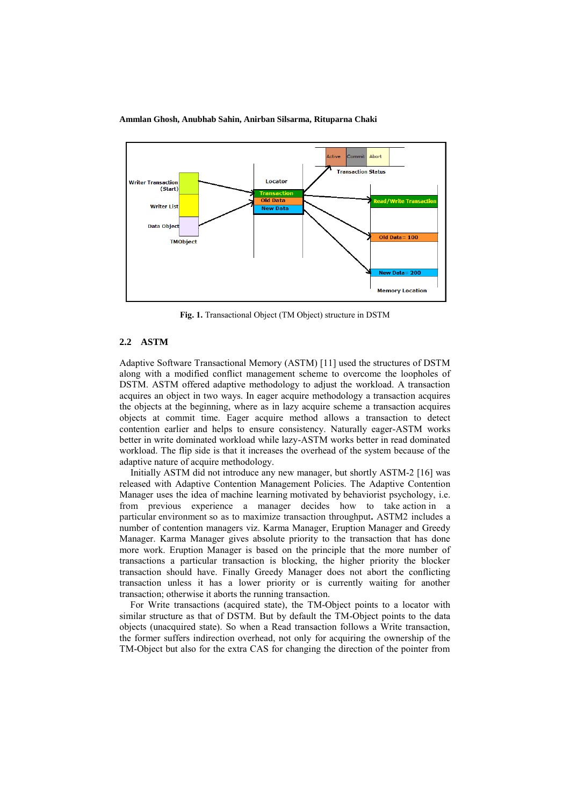

**Fig. 1.** Transactional Object (TM Object) structure in DSTM

## **2.2 ASTM**

Adaptive Software Transactional Memory (ASTM) [11] used the structures of DSTM along with a modified conflict management scheme to overcome the loopholes of DSTM. ASTM offered adaptive methodology to adjust the workload. A transaction acquires an object in two ways. In eager acquire methodology a transaction acquires the objects at the beginning, where as in lazy acquire scheme a transaction acquires objects at commit time. Eager acquire method allows a transaction to detect contention earlier and helps to ensure consistency. Naturally eager-ASTM works better in write dominated workload while lazy-ASTM works better in read dominated workload. The flip side is that it increases the overhead of the system because of the adaptive nature of acquire methodology.

Initially ASTM did not introduce any new manager, but shortly ASTM-2 [16] was released with Adaptive Contention Management Policies. The Adaptive Contention Manager uses the idea of machine learning motivated by behaviorist psychology, i.e. from previous experience a manager decides how to take action in a particular environment so as to maximize transaction throughput**.** ASTM2 includes a number of contention managers viz. Karma Manager, Eruption Manager and Greedy Manager. Karma Manager gives absolute priority to the transaction that has done more work. Eruption Manager is based on the principle that the more number of transactions a particular transaction is blocking, the higher priority the blocker transaction should have. Finally Greedy Manager does not abort the conflicting transaction unless it has a lower priority or is currently waiting for another transaction; otherwise it aborts the running transaction.

For Write transactions (acquired state), the TM-Object points to a locator with similar structure as that of DSTM. But by default the TM-Object points to the data objects (unacquired state). So when a Read transaction follows a Write transaction, the former suffers indirection overhead, not only for acquiring the ownership of the TM-Object but also for the extra CAS for changing the direction of the pointer from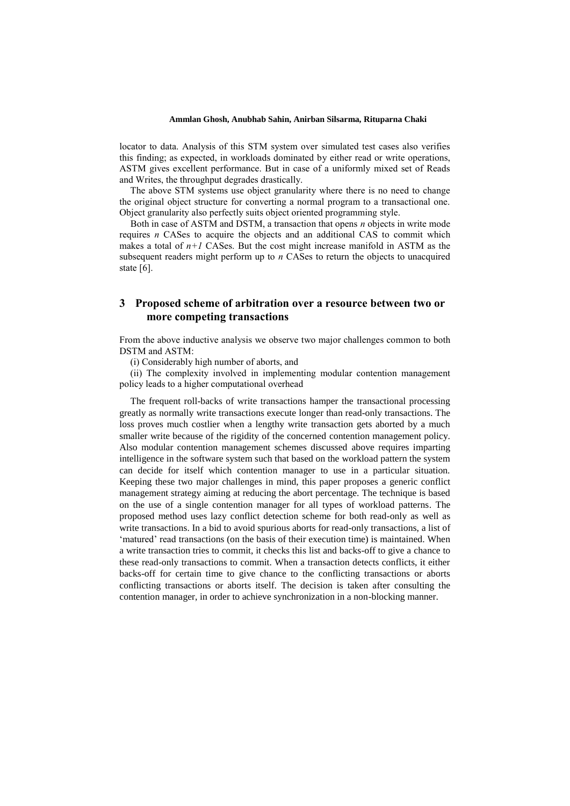locator to data. Analysis of this STM system over simulated test cases also verifies this finding; as expected, in workloads dominated by either read or write operations, ASTM gives excellent performance. But in case of a uniformly mixed set of Reads and Writes, the throughput degrades drastically.

The above STM systems use object granularity where there is no need to change the original object structure for converting a normal program to a transactional one. Object granularity also perfectly suits object oriented programming style.

Both in case of ASTM and DSTM, a transaction that opens *n* objects in write mode requires *n* CASes to acquire the objects and an additional CAS to commit which makes a total of *n+1* CASes. But the cost might increase manifold in ASTM as the subsequent readers might perform up to *n* CASes to return the objects to unacquired state [6].

# **3 Proposed scheme of arbitration over a resource between two or more competing transactions**

From the above inductive analysis we observe two major challenges common to both DSTM and ASTM:

(i) Considerably high number of aborts, and

(ii) The complexity involved in implementing modular contention management policy leads to a higher computational overhead

The frequent roll-backs of write transactions hamper the transactional processing greatly as normally write transactions execute longer than read-only transactions. The loss proves much costlier when a lengthy write transaction gets aborted by a much smaller write because of the rigidity of the concerned contention management policy. Also modular contention management schemes discussed above requires imparting intelligence in the software system such that based on the workload pattern the system can decide for itself which contention manager to use in a particular situation. Keeping these two major challenges in mind, this paper proposes a generic conflict management strategy aiming at reducing the abort percentage. The technique is based on the use of a single contention manager for all types of workload patterns. The proposed method uses lazy conflict detection scheme for both read-only as well as write transactions. In a bid to avoid spurious aborts for read-only transactions, a list of 'matured' read transactions (on the basis of their execution time) is maintained. When a write transaction tries to commit, it checks this list and backs-off to give a chance to these read-only transactions to commit. When a transaction detects conflicts, it either backs-off for certain time to give chance to the conflicting transactions or aborts conflicting transactions or aborts itself. The decision is taken after consulting the contention manager, in order to achieve synchronization in a non-blocking manner.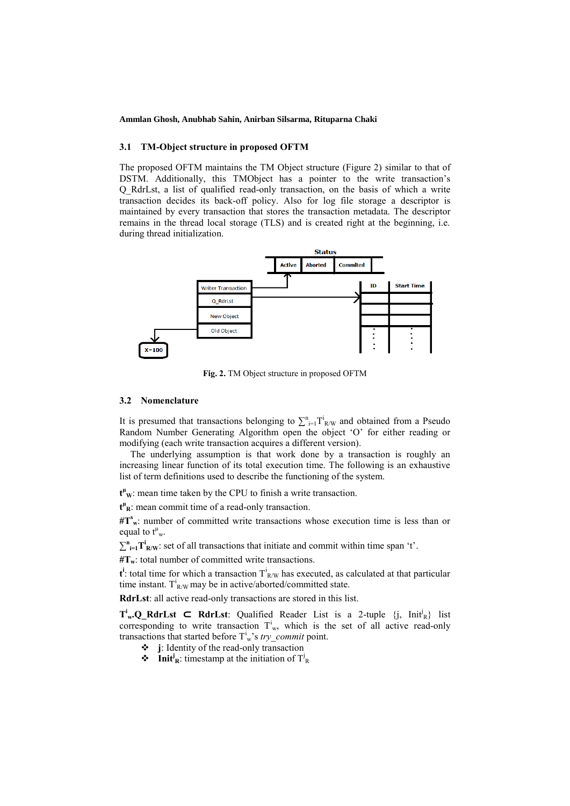#### **3.1 TM-Object structure in proposed OFTM**

The proposed OFTM maintains the TM Object structure (Figure 2) similar to that of DSTM. Additionally, this TMObject has a pointer to the write transaction's Q\_RdrLst, a list of qualified read-only transaction, on the basis of which a write transaction decides its back-off policy. Also for log file storage a descriptor is maintained by every transaction that stores the transaction metadata. The descriptor remains in the thread local storage (TLS) and is created right at the beginning, i.e. during thread initialization.



**Fig. 2.** TM Object structure in proposed OFTM

#### **3.2 Nomenclature**

It is presumed that transactions belonging to  $\sum_{i=1}^{n} T_{R/W}^i$  and obtained from a Pseudo Random Number Generating Algorithm open the object 'O' for either reading or modifying (each write transaction acquires a different version).

The underlying assumption is that work done by a transaction is roughly an increasing linear function of its total execution time. The following is an exhaustive list of term definitions used to describe the functioning of the system.

 $t^{\mu}$ <sub>W</sub>: mean time taken by the CPU to finish a write transaction.

**t µ <sup>R</sup>**: mean commit time of a read-only transaction.

**#T<sup>s</sup> <sup>w</sup>**: number of committed write transactions whose execution time is less than or equal to  $t^{\mu}{}_{w}$ .

 $\sum_{i=1}^{n} \mathbf{T}_{\text{RW}}^{i}$ : set of all transactions that initiate and commit within time span 't'.

**#Tw**: total number of committed write transactions.

 $t^i$ : total time for which a transaction  $T^i_{R/W}$  has executed, as calculated at that particular time instant.  $T_{RW}^{i}$  may be in active/aborted/committed state.

**RdrLst**: all active read-only transactions are stored in this list.

**T**<sup>i</sup>w**•Q\_RdrLst** ⊂ **RdrLst**: Qualified Reader List is a 2-tuple {j, Init<sup>i</sup><sub>R</sub>} list corresponding to write transaction  $T_w$ , which is the set of all active read-only transactions that started before  $T_w^i$ 's *try\_commit* point.

- **j**: Identity of the read-only transaction
- $\bullet$  **Init**<sup>j</sup><sub>R</sub>: timestamp at the initiation of T<sup>j</sup><sub>R</sub>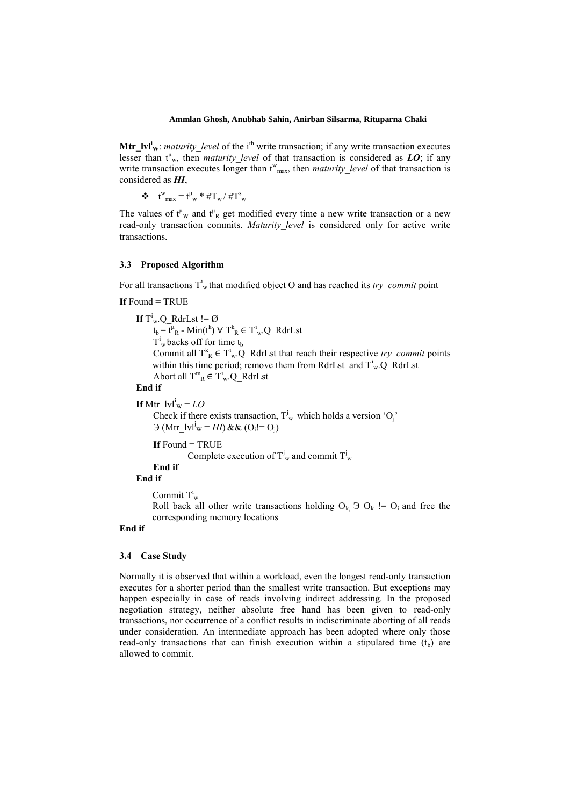Mtr\_lvl<sup>i</sup><sub>W</sub>: *maturity\_level* of the i<sup>th</sup> write transaction; if any write transaction executes lesser than  $t^{\mu}{}_{w}$ , then *maturity\_level* of that transaction is considered as  $LO$ ; if any write transaction executes longer than  $t_{\text{max}}^w$ , then *maturity\_level* of that transaction is considered as *HI*,

 $t^{w}_{max} = t^{u}_{w} * #T_w / #T_w^{s}$ 

The values of  $t^{\mu}$ <sub>W</sub> and  $t^{\mu}$ <sub>R</sub> get modified every time a new write transaction or a new read-only transaction commits. *Maturity level* is considered only for active write transactions.

#### **3.3 Proposed Algorithm**

For all transactions  $T_w^i$  that modified object O and has reached its *try\_commit* point

```
If Found = TRUE
```

```
If T_w^i Q_RdrLst != Ø
 t_b = t^{\mu} R - Min(t^k) \forall T<sup>k</sup>_R \in T_w^i.Q_RdrLst
 T_w^i backs off for time t_bCommit all T^k<sub>R</sub> \in T^i<sub>W</sub>.Q_RdrLst that reach their respective try_commit points
within this time period; remove them from RdrLst and T_w^i. Q_RdrLst
 Abort all T^m_R \in T^i_{w}.Q_R drLstEnd if
```
**If** Mtr\_lvl<sup>i</sup><sub>W</sub> = *LO* 

Check if there exists transaction,  $T_w^j$  which holds a version 'O<sub>j</sub>'  $\Im$  (Mtr\_lvl<sup>j</sup><sub>W</sub> = *HI*) && (O<sub>i</sub>!= O<sub>j</sub>)

**If** Found = TRUE

```
Complete execution of T_w^j and commit T_w^j
```
**End if End if**

Commit  $T_w^i$ 

Roll back all other write transactions holding  $O_k$   $\Theta$   $\Theta_k$  !=  $O_i$  and free the corresponding memory locations

# **End if**

#### **3.4 Case Study**

Normally it is observed that within a workload, even the longest read-only transaction executes for a shorter period than the smallest write transaction. But exceptions may happen especially in case of reads involving indirect addressing. In the proposed negotiation strategy, neither absolute free hand has been given to read-only transactions, nor occurrence of a conflict results in indiscriminate aborting of all reads under consideration. An intermediate approach has been adopted where only those read-only transactions that can finish execution within a stipulated time  $(t<sub>b</sub>)$  are allowed to commit.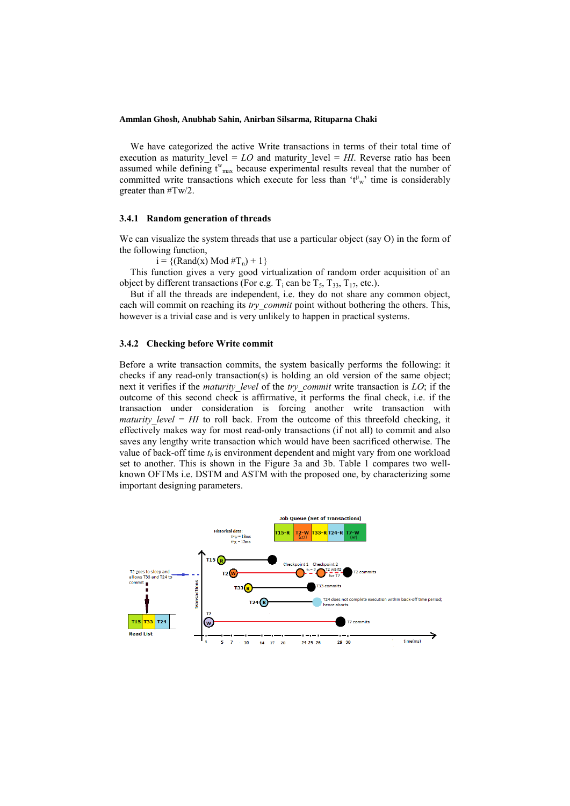We have categorized the active Write transactions in terms of their total time of execution as maturity  $level = LO$  and maturity  $level = HI$ . Reverse ratio has been assumed while defining  $t^{w}$ <sub>max</sub> because experimental results reveal that the number of committed write transactions which execute for less than  $'t_w^{\mu}$  time is considerably greater than #Tw/2.

#### **3.4.1 Random generation of threads**

We can visualize the system threads that use a particular object (say O) in the form of the following function,

 $i = \{ (Rand(x) Mod #T_n) + 1 \}$ 

This function gives a very good virtualization of random order acquisition of an object by different transactions (For e.g.  $T_i$  can be  $T_5$ ,  $T_{33}$ ,  $T_{17}$ , etc.).

But if all the threads are independent, i.e. they do not share any common object, each will commit on reaching its *try* commit point without bothering the others. This, however is a trivial case and is very unlikely to happen in practical systems.

# **3.4.2 Checking before Write commit**

Before a write transaction commits, the system basically performs the following: it checks if any read-only transaction(s) is holding an old version of the same object; next it verifies if the *maturity\_level* of the *try\_commit* write transaction is *LO*; if the outcome of this second check is affirmative, it performs the final check, i.e. if the transaction under consideration is forcing another write transaction with *maturity level* = *HI* to roll back. From the outcome of this threefold checking, it effectively makes way for most read-only transactions (if not all) to commit and also saves any lengthy write transaction which would have been sacrificed otherwise. The value of back-off time  $t<sub>b</sub>$  is environment dependent and might vary from one workload set to another. This is shown in the Figure 3a and 3b. Table 1 compares two wellknown OFTMs i.e. DSTM and ASTM with the proposed one, by characterizing some important designing parameters.

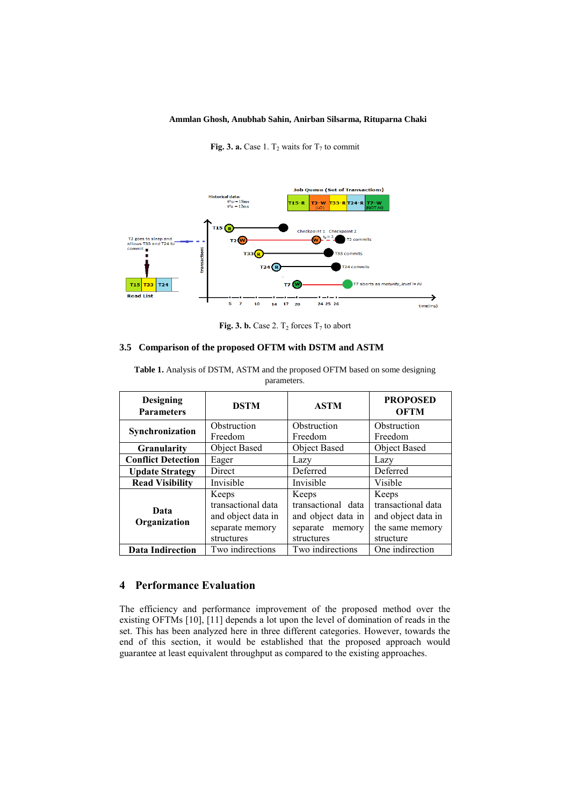

Fig. 3. a. Case 1.  $T_2$  waits for  $T_7$  to commit

**Fig. 3. b.** Case 2.  $T_2$  forces  $T_7$  to abort

## **3.5 Comparison of the proposed OFTM with DSTM and ASTM**

| <b>Designing</b><br><b>Parameters</b> | <b>DSTM</b>                                                                        | <b>ASTM</b>                                                                        | <b>PROPOSED</b><br><b>OFTM</b>                                                    |
|---------------------------------------|------------------------------------------------------------------------------------|------------------------------------------------------------------------------------|-----------------------------------------------------------------------------------|
| Synchronization                       | Obstruction                                                                        | Obstruction                                                                        | Obstruction                                                                       |
|                                       | Freedom                                                                            | Freedom                                                                            | Freedom                                                                           |
| Granularity                           | <b>Object Based</b>                                                                | <b>Object Based</b>                                                                | <b>Object Based</b>                                                               |
| <b>Conflict Detection</b>             | Eager                                                                              | Lazy                                                                               | Lazy                                                                              |
| <b>Update Strategy</b>                | Direct                                                                             | Deferred                                                                           | Deferred                                                                          |
| <b>Read Visibility</b>                | Invisible                                                                          | Invisible                                                                          | Visible                                                                           |
| Data<br>Organization                  | Keeps<br>transactional data<br>and object data in<br>separate memory<br>structures | Keeps<br>transactional data<br>and object data in<br>separate memory<br>structures | Keeps<br>transactional data<br>and object data in<br>the same memory<br>structure |
| <b>Data Indirection</b>               | Two indirections                                                                   | Two indirections                                                                   | One indirection                                                                   |

**Table 1.** Analysis of DSTM, ASTM and the proposed OFTM based on some designing parameters.

# **4 Performance Evaluation**

The efficiency and performance improvement of the proposed method over the existing OFTMs [10], [11] depends a lot upon the level of domination of reads in the set. This has been analyzed here in three different categories. However, towards the end of this section, it would be established that the proposed approach would guarantee at least equivalent throughput as compared to the existing approaches.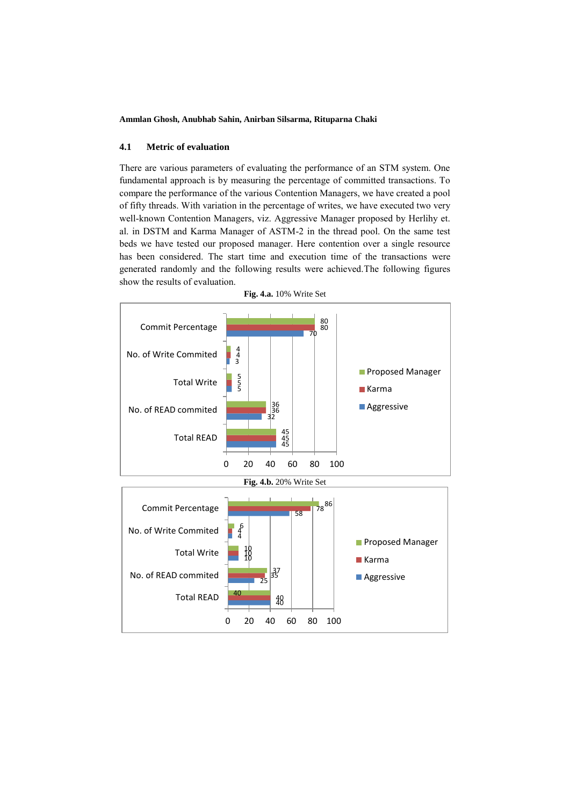#### **4.1 Metric of evaluation**

There are various parameters of evaluating the performance of an STM system. One fundamental approach is by measuring the percentage of committed transactions. To compare the performance of the various Contention Managers, we have created a pool of fifty threads. With variation in the percentage of writes, we have executed two very well-known Contention Managers, viz. Aggressive Manager proposed by Herlihy et. al. in DSTM and Karma Manager of ASTM-2 in the thread pool. On the same test beds we have tested our proposed manager. Here contention over a single resource has been considered. The start time and execution time of the transactions were generated randomly and the following results were achieved.The following figures show the results of evaluation.



40 40

0 20 40 60 80 100

40

Total READ

**Fig. 4.a.** 10% Write Set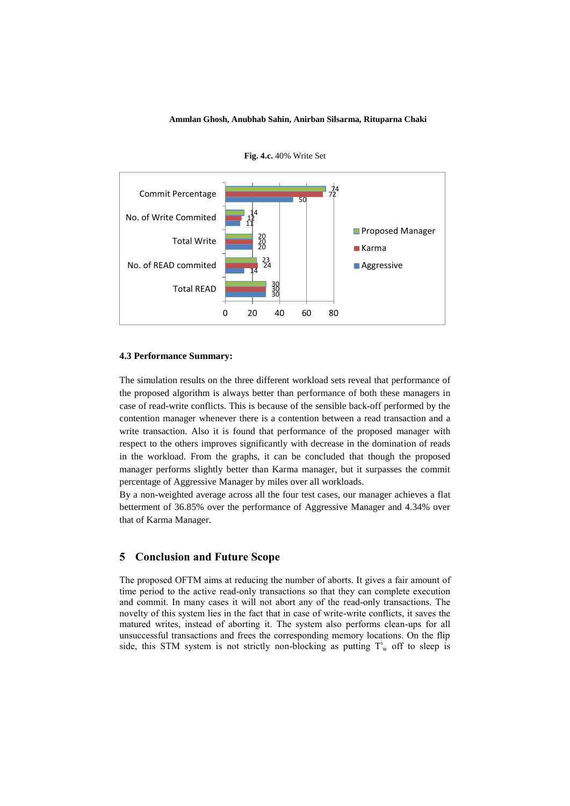

**Fig. 4.c.** 40% Write Set

#### **4.3 Performance Summary:**

The simulation results on the three different workload sets reveal that performance of the proposed algorithm is always better than performance of both these managers in case of read-write conflicts. This is because of the sensible back-off performed by the contention manager whenever there is a contention between a read transaction and a write transaction. Also it is found that performance of the proposed manager with respect to the others improves significantly with decrease in the domination of reads in the workload. From the graphs, it can be concluded that though the proposed manager performs slightly better than Karma manager, but it surpasses the commit percentage of Aggressive Manager by miles over all workloads.

By a non-weighted average across all the four test cases, our manager achieves a flat betterment of 36.85% over the performance of Aggressive Manager and 4.34% over that of Karma Manager.

# **5 Conclusion and Future Scope**

The proposed OFTM aims at reducing the number of aborts. It gives a fair amount of time period to the active read-only transactions so that they can complete execution and commit. In many cases it will not abort any of the read-only transactions. The novelty of this system lies in the fact that in case of write-write conflicts, it saves the matured writes, instead of aborting it. The system also performs clean-ups for all unsuccessful transactions and frees the corresponding memory locations. On the flip side, this STM system is not strictly non-blocking as putting  $T_w^i$  off to sleep is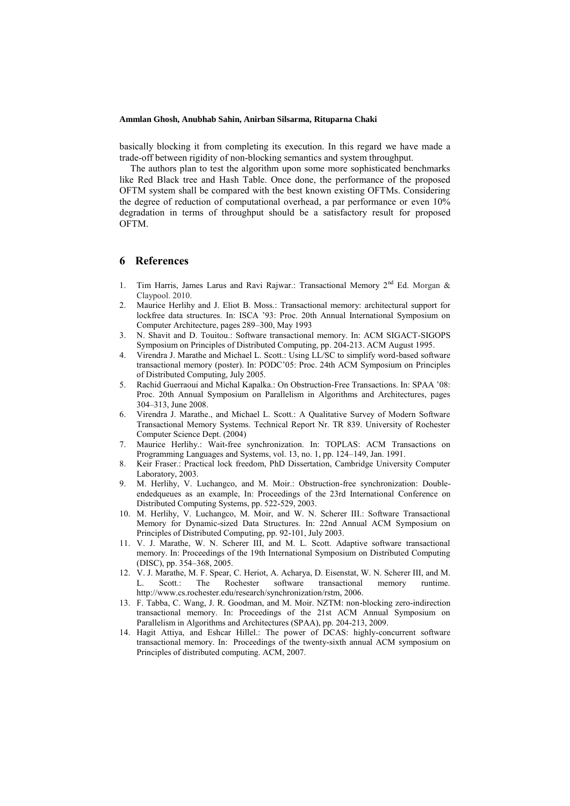basically blocking it from completing its execution. In this regard we have made a trade-off between rigidity of non-blocking semantics and system throughput.

The authors plan to test the algorithm upon some more sophisticated benchmarks like Red Black tree and Hash Table. Once done, the performance of the proposed OFTM system shall be compared with the best known existing OFTMs. Considering the degree of reduction of computational overhead, a par performance or even 10% degradation in terms of throughput should be a satisfactory result for proposed OFTM.

# **6 References**

- 1. Tim Harris, James Larus and Ravi Rajwar.: Transactional Memory  $2<sup>nd</sup>$  Ed. Morgan & Claypool. 2010.
- 2. Maurice Herlihy and J. Eliot B. Moss.: Transactional memory: architectural support for lockfree data structures. In: ISCA '93: Proc. 20th Annual International Symposium on Computer Architecture, pages 289–300, May 1993
- 3. N. Shavit and D. Touitou.: Software transactional memory. In: ACM SIGACT-SIGOPS Symposium on Principles of Distributed Computing, pp. 204-213. ACM August 1995.
- 4. Virendra J. Marathe and Michael L. Scott.: Using LL/SC to simplify word-based software transactional memory (poster). In: PODC'05: Proc. 24th ACM Symposium on Principles of Distributed Computing, July 2005.
- 5. Rachid Guerraoui and Michal Kapalka.: On Obstruction-Free Transactions. In: SPAA '08: Proc. 20th Annual Symposium on Parallelism in Algorithms and Architectures, pages 304–313, June 2008.
- 6. Virendra J. Marathe., and Michael L. Scott.: A Qualitative Survey of Modern Software Transactional Memory Systems. Technical Report Nr. TR 839. University of Rochester Computer Science Dept. (2004)
- 7. Maurice Herlihy.: Wait-free synchronization. In: TOPLAS: ACM Transactions on Programming Languages and Systems, vol. 13, no. 1, pp. 124–149, Jan. 1991.
- 8. Keir Fraser.: Practical lock freedom, PhD Dissertation, Cambridge University Computer Laboratory, 2003.
- 9. M. Herlihy, V. Luchangco, and M. Moir.: Obstruction-free synchronization: Doubleendedqueues as an example, In: Proceedings of the 23rd International Conference on Distributed Computing Systems, pp. 522-529, 2003.
- 10. M. Herlihy, V. Luchangco, M. Moir, and W. N. Scherer III.: Software Transactional Memory for Dynamic-sized Data Structures. In: 22nd Annual ACM Symposium on Principles of Distributed Computing, pp. 92-101, July 2003.
- 11. V. J. Marathe, W. N. Scherer III, and M. L. Scott. Adaptive software transactional memory. In: Proceedings of the 19th International Symposium on Distributed Computing (DISC), pp. 354–368, 2005.
- 12. V. J. Marathe, M. F. Spear, C. Heriot, A. Acharya, D. Eisenstat, W. N. Scherer III, and M. L. Scott. The Rochester software transactional memory runtime. [http://www.cs.rochester.edu/research/synchronization/rstm,](http://www.cs.rochester.edu/research/synchronization/rstm/) 2006.
- 13. F. Tabba, C. Wang, J. R. Goodman, and M. Moir. NZTM: non-blocking zero-indirection transactional memory. In: Proceedings of the 21st ACM Annual Symposium on Parallelism in Algorithms and Architectures (SPAA), pp. 204-213, 2009.
- 14. Hagit Attiya, and Eshcar Hillel.: The power of DCAS: highly-concurrent software transactional memory. In: Proceedings of the twenty-sixth annual ACM symposium on Principles of distributed computing. ACM, 2007.